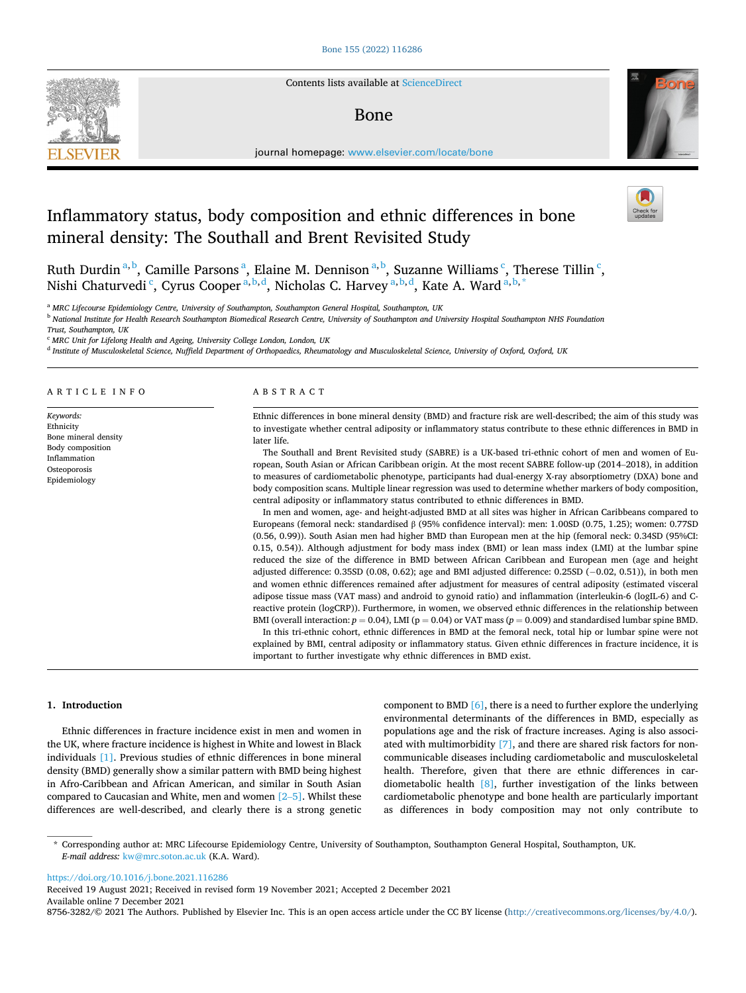

Contents lists available at [ScienceDirect](www.sciencedirect.com/science/journal/87563282)

# Bone



journal homepage: [www.elsevier.com/locate/bone](https://www.elsevier.com/locate/bone) 

# Inflammatory status, body composition and ethnic differences in bone mineral density: The Southall and Brent Revisited Study

Ruth Durdin<sup>a, b</sup>, Camille Parsons<sup>a</sup>, Elaine M. Dennison<sup>a, b</sup>, Suzanne Williams<sup>c</sup>, Therese Tillin<sup>c</sup>, Nishi Chaturvedi <sup>c</sup>, Cyrus Cooper <sup>a, b, d</sup>, Nicholas C. Harvey <sup>a, b, d</sup>, Kate A. Ward <sup>a, b, \*</sup>

<sup>a</sup> *MRC Lifecourse Epidemiology Centre, University of Southampton, Southampton General Hospital, Southampton, UK* 

<sup>b</sup> *National Institute for Health Research Southampton Biomedical Research Centre, University of Southampton and University Hospital Southampton NHS Foundation* 

*Trust, Southampton, UK* 

<sup>c</sup> *MRC Unit for Lifelong Health and Ageing, University College London, London, UK* 

<sup>d</sup> *Institute of Musculoskeletal Science, Nuffield Department of Orthopaedics, Rheumatology and Musculoskeletal Science, University of Oxford, Oxford, UK* 

#### ARTICLE INFO

*Keywords:*  Ethnicity Bone mineral density Body composition Inflammation Osteoporosis Epidemiology

#### ABSTRACT

Ethnic differences in bone mineral density (BMD) and fracture risk are well-described; the aim of this study was to investigate whether central adiposity or inflammatory status contribute to these ethnic differences in BMD in later life.

The Southall and Brent Revisited study (SABRE) is a UK-based tri-ethnic cohort of men and women of European, South Asian or African Caribbean origin. At the most recent SABRE follow-up (2014–2018), in addition to measures of cardiometabolic phenotype, participants had dual-energy X-ray absorptiometry (DXA) bone and body composition scans. Multiple linear regression was used to determine whether markers of body composition, central adiposity or inflammatory status contributed to ethnic differences in BMD.

In men and women, age- and height-adjusted BMD at all sites was higher in African Caribbeans compared to Europeans (femoral neck: standardised β (95% confidence interval): men: 1.00SD (0.75, 1.25); women: 0.77SD (0.56, 0.99)). South Asian men had higher BMD than European men at the hip (femoral neck: 0.34SD (95%CI: 0.15, 0.54)). Although adjustment for body mass index (BMI) or lean mass index (LMI) at the lumbar spine reduced the size of the difference in BMD between African Caribbean and European men (age and height adjusted difference: 0.35SD (0.08, 0.62); age and BMI adjusted difference: 0.25SD (− 0.02, 0.51)), in both men and women ethnic differences remained after adjustment for measures of central adiposity (estimated visceral adipose tissue mass (VAT mass) and android to gynoid ratio) and inflammation (interleukin-6 (logIL-6) and Creactive protein (logCRP)). Furthermore, in women, we observed ethnic differences in the relationship between BMI (overall interaction: *p* = 0.04), LMI (p = 0.04) or VAT mass (*p* = 0.009) and standardised lumbar spine BMD.

In this tri-ethnic cohort, ethnic differences in BMD at the femoral neck, total hip or lumbar spine were not explained by BMI, central adiposity or inflammatory status. Given ethnic differences in fracture incidence, it is important to further investigate why ethnic differences in BMD exist.

#### **1. Introduction**

Ethnic differences in fracture incidence exist in men and women in the UK, where fracture incidence is highest in White and lowest in Black individuals [\[1\].](#page-6-0) Previous studies of ethnic differences in bone mineral density (BMD) generally show a similar pattern with BMD being highest in Afro-Caribbean and African American, and similar in South Asian compared to Caucasian and White, men and women [\[2](#page-6-0)–5]. Whilst these differences are well-described, and clearly there is a strong genetic component to BMD [\[6\],](#page-6-0) there is a need to further explore the underlying environmental determinants of the differences in BMD, especially as populations age and the risk of fracture increases. Aging is also associated with multimorbidity [\[7\]](#page-6-0), and there are shared risk factors for noncommunicable diseases including cardiometabolic and musculoskeletal health. Therefore, given that there are ethnic differences in cardiometabolic health [\[8\],](#page-6-0) further investigation of the links between cardiometabolic phenotype and bone health are particularly important as differences in body composition may not only contribute to

\* Corresponding author at: MRC Lifecourse Epidemiology Centre, University of Southampton, Southampton General Hospital, Southampton, UK. *E-mail address:* [kw@mrc.soton.ac.uk](mailto:kw@mrc.soton.ac.uk) (K.A. Ward).

<https://doi.org/10.1016/j.bone.2021.116286>

Available online 7 December 2021 8756-3282/©2021 The Authors. Published by Elsevier Inc. This is an open access article under the CC BY license (<http://creativecommons.org/licenses/by/4.0/>). Received 19 August 2021; Received in revised form 19 November 2021; Accepted 2 December 2021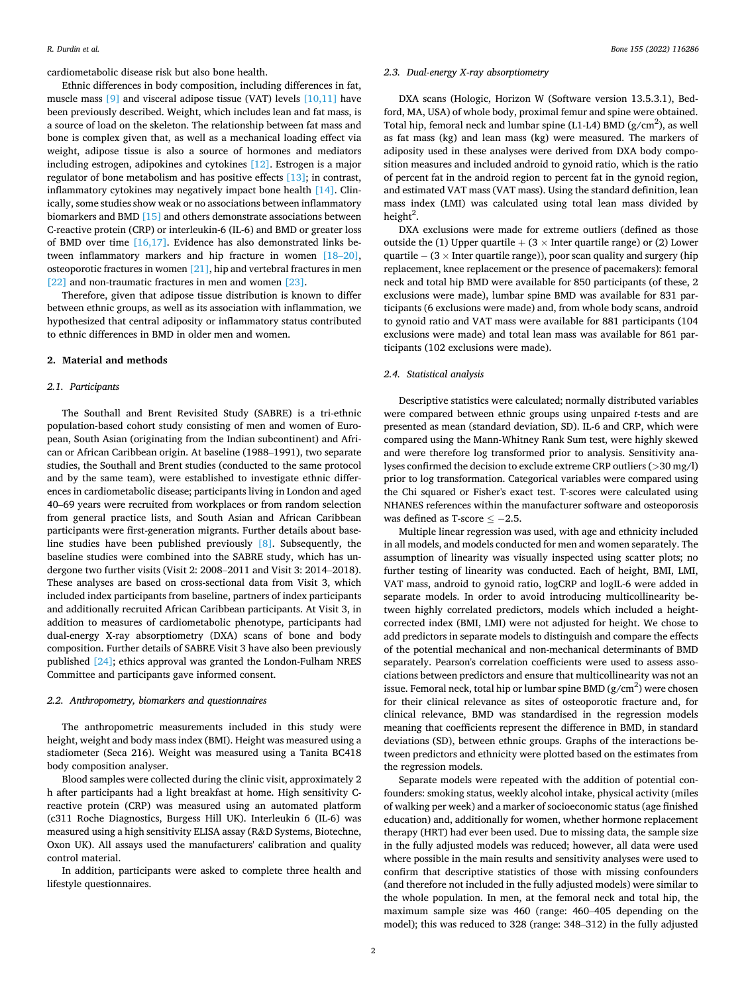cardiometabolic disease risk but also bone health.

Ethnic differences in body composition, including differences in fat, muscle mass  $[9]$  and visceral adipose tissue (VAT) levels  $[10,11]$  have been previously described. Weight, which includes lean and fat mass, is a source of load on the skeleton. The relationship between fat mass and bone is complex given that, as well as a mechanical loading effect via weight, adipose tissue is also a source of hormones and mediators including estrogen, adipokines and cytokines [\[12\]](#page-6-0). Estrogen is a major regulator of bone metabolism and has positive effects [\[13\]](#page-6-0); in contrast, inflammatory cytokines may negatively impact bone health [\[14\]](#page-6-0). Clinically, some studies show weak or no associations between inflammatory biomarkers and BMD [\[15\]](#page-6-0) and others demonstrate associations between C-reactive protein (CRP) or interleukin-6 (IL-6) and BMD or greater loss of BMD over time  $[16,17]$ . Evidence has also demonstrated links between inflammatory markers and hip fracture in women [\[18](#page-6-0)–20], osteoporotic fractures in women [\[21\]](#page-6-0), hip and vertebral fractures in men [\[22\]](#page-6-0) and non-traumatic fractures in men and women [\[23\]](#page-6-0).

Therefore, given that adipose tissue distribution is known to differ between ethnic groups, as well as its association with inflammation, we hypothesized that central adiposity or inflammatory status contributed to ethnic differences in BMD in older men and women.

# **2. Material and methods**

# *2.1. Participants*

The Southall and Brent Revisited Study (SABRE) is a tri-ethnic population-based cohort study consisting of men and women of European, South Asian (originating from the Indian subcontinent) and African or African Caribbean origin. At baseline (1988–1991), two separate studies, the Southall and Brent studies (conducted to the same protocol and by the same team), were established to investigate ethnic differences in cardiometabolic disease; participants living in London and aged 40–69 years were recruited from workplaces or from random selection from general practice lists, and South Asian and African Caribbean participants were first-generation migrants. Further details about baseline studies have been published previously [\[8\]](#page-6-0). Subsequently, the baseline studies were combined into the SABRE study, which has undergone two further visits (Visit 2: 2008–2011 and Visit 3: 2014–2018). These analyses are based on cross-sectional data from Visit 3, which included index participants from baseline, partners of index participants and additionally recruited African Caribbean participants. At Visit 3, in addition to measures of cardiometabolic phenotype, participants had dual-energy X-ray absorptiometry (DXA) scans of bone and body composition. Further details of SABRE Visit 3 have also been previously published [\[24\]](#page-6-0); ethics approval was granted the London-Fulham NRES Committee and participants gave informed consent.

#### *2.2. Anthropometry, biomarkers and questionnaires*

The anthropometric measurements included in this study were height, weight and body mass index (BMI). Height was measured using a stadiometer (Seca 216). Weight was measured using a Tanita BC418 body composition analyser.

Blood samples were collected during the clinic visit, approximately 2 h after participants had a light breakfast at home. High sensitivity Creactive protein (CRP) was measured using an automated platform (c311 Roche Diagnostics, Burgess Hill UK). Interleukin 6 (IL-6) was measured using a high sensitivity ELISA assay (R&D Systems, Biotechne, Oxon UK). All assays used the manufacturers' calibration and quality control material.

In addition, participants were asked to complete three health and lifestyle questionnaires.

# *2.3. Dual-energy X-ray absorptiometry*

DXA scans (Hologic, Horizon W (Software version 13.5.3.1), Bedford, MA, USA) of whole body, proximal femur and spine were obtained. Total hip, femoral neck and lumbar spine (L1-L4) BMD ( $g/cm<sup>2</sup>$ ), as well as fat mass (kg) and lean mass (kg) were measured. The markers of adiposity used in these analyses were derived from DXA body composition measures and included android to gynoid ratio, which is the ratio of percent fat in the android region to percent fat in the gynoid region, and estimated VAT mass (VAT mass). Using the standard definition, lean mass index (LMI) was calculated using total lean mass divided by height<sup>2</sup>.

DXA exclusions were made for extreme outliers (defined as those outside the (1) Upper quartile  $+$  (3  $\times$  Inter quartile range) or (2) Lower quartile − (3 × Inter quartile range)), poor scan quality and surgery (hip replacement, knee replacement or the presence of pacemakers): femoral neck and total hip BMD were available for 850 participants (of these, 2 exclusions were made), lumbar spine BMD was available for 831 participants (6 exclusions were made) and, from whole body scans, android to gynoid ratio and VAT mass were available for 881 participants (104 exclusions were made) and total lean mass was available for 861 participants (102 exclusions were made).

#### *2.4. Statistical analysis*

Descriptive statistics were calculated; normally distributed variables were compared between ethnic groups using unpaired *t*-tests and are presented as mean (standard deviation, SD). IL-6 and CRP, which were compared using the Mann-Whitney Rank Sum test, were highly skewed and were therefore log transformed prior to analysis. Sensitivity analyses confirmed the decision to exclude extreme CRP outliers (*>*30 mg/l) prior to log transformation. Categorical variables were compared using the Chi squared or Fisher's exact test. T-scores were calculated using NHANES references within the manufacturer software and osteoporosis was defined as T-score  $\leq -2.5$ .

Multiple linear regression was used, with age and ethnicity included in all models, and models conducted for men and women separately. The assumption of linearity was visually inspected using scatter plots; no further testing of linearity was conducted. Each of height, BMI, LMI, VAT mass, android to gynoid ratio, logCRP and logIL-6 were added in separate models. In order to avoid introducing multicollinearity between highly correlated predictors, models which included a heightcorrected index (BMI, LMI) were not adjusted for height. We chose to add predictors in separate models to distinguish and compare the effects of the potential mechanical and non-mechanical determinants of BMD separately. Pearson's correlation coefficients were used to assess associations between predictors and ensure that multicollinearity was not an issue. Femoral neck, total hip or lumbar spine BMD (g/cm<sup>2</sup>) were chosen for their clinical relevance as sites of osteoporotic fracture and, for clinical relevance, BMD was standardised in the regression models meaning that coefficients represent the difference in BMD, in standard deviations (SD), between ethnic groups. Graphs of the interactions between predictors and ethnicity were plotted based on the estimates from the regression models.

Separate models were repeated with the addition of potential confounders: smoking status, weekly alcohol intake, physical activity (miles of walking per week) and a marker of socioeconomic status (age finished education) and, additionally for women, whether hormone replacement therapy (HRT) had ever been used. Due to missing data, the sample size in the fully adjusted models was reduced; however, all data were used where possible in the main results and sensitivity analyses were used to confirm that descriptive statistics of those with missing confounders (and therefore not included in the fully adjusted models) were similar to the whole population. In men, at the femoral neck and total hip, the maximum sample size was 460 (range: 460–405 depending on the model); this was reduced to 328 (range: 348–312) in the fully adjusted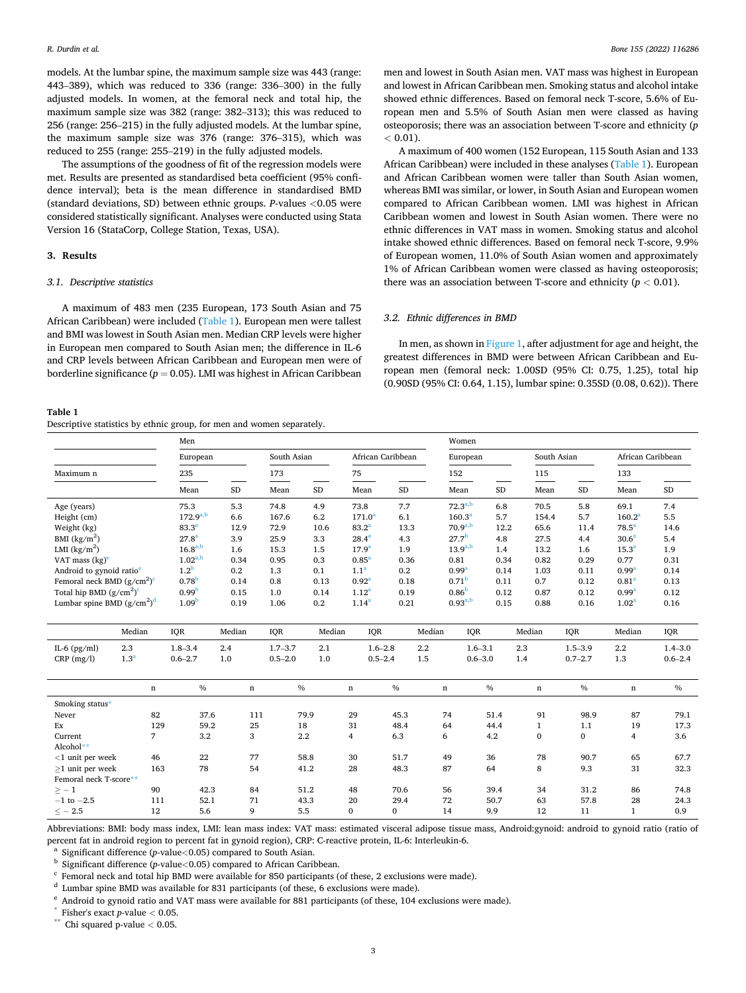models. At the lumbar spine, the maximum sample size was 443 (range: 443–389), which was reduced to 336 (range: 336–300) in the fully adjusted models. In women, at the femoral neck and total hip, the maximum sample size was 382 (range: 382–313); this was reduced to 256 (range: 256–215) in the fully adjusted models. At the lumbar spine, the maximum sample size was 376 (range: 376–315), which was reduced to 255 (range: 255–219) in the fully adjusted models.

The assumptions of the goodness of fit of the regression models were met. Results are presented as standardised beta coefficient (95% confidence interval); beta is the mean difference in standardised BMD (standard deviations, SD) between ethnic groups. *P*-values *<*0.05 were considered statistically significant. Analyses were conducted using Stata Version 16 (StataCorp, College Station, Texas, USA).

#### **3. Results**

# *3.1. Descriptive statistics*

A maximum of 483 men (235 European, 173 South Asian and 75 African Caribbean) were included (Table 1). European men were tallest and BMI was lowest in South Asian men. Median CRP levels were higher in European men compared to South Asian men; the difference in IL-6 and CRP levels between African Caribbean and European men were of borderline significance (*p* = 0.05). LMI was highest in African Caribbean

#### **Table 1**

Descriptive statistics by ethnic group, for men and women separately.

men and lowest in South Asian men. VAT mass was highest in European and lowest in African Caribbean men. Smoking status and alcohol intake showed ethnic differences. Based on femoral neck T-score, 5.6% of European men and 5.5% of South Asian men were classed as having osteoporosis; there was an association between T-score and ethnicity (*p*   $< 0.01$ ).

A maximum of 400 women (152 European, 115 South Asian and 133 African Caribbean) were included in these analyses (Table 1). European and African Caribbean women were taller than South Asian women, whereas BMI was similar, or lower, in South Asian and European women compared to African Caribbean women. LMI was highest in African Caribbean women and lowest in South Asian women. There were no ethnic differences in VAT mass in women. Smoking status and alcohol intake showed ethnic differences. Based on femoral neck T-score, 9.9% of European women, 11.0% of South Asian women and approximately 1% of African Caribbean women were classed as having osteoporosis; there was an association between T-score and ethnicity ( $p < 0.01$ ).

#### *3.2. Ethnic differences in BMD*

In men, as shown in [Figure 1](#page-3-0), after adjustment for age and height, the greatest differences in BMD were between African Caribbean and European men (femoral neck: 1.00SD (95% CI: 0.75, 1.25), total hip (0.90SD (95% CI: 0.64, 1.15), lumbar spine: 0.35SD (0.08, 0.62)). There

|                                      |                  | ◡<br>Men          |             |             |              |                    |              |             | Women                     |              |              |                    |                   |  |
|--------------------------------------|------------------|-------------------|-------------|-------------|--------------|--------------------|--------------|-------------|---------------------------|--------------|--------------|--------------------|-------------------|--|
|                                      |                  | European          |             | South Asian |              | African Caribbean  |              |             | European                  |              | South Asian  |                    | African Caribbean |  |
| Maximum n                            |                  | 235               |             | 173         |              | 75                 |              | 152         |                           | 115          |              | 133                |                   |  |
|                                      |                  | Mean              | $\rm SD$    | Mean        | <b>SD</b>    | Mean               | $\rm SD$     |             | Mean<br>SD                | Mean         | SD           | Mean               | <b>SD</b>         |  |
| Age (years)                          |                  | 75.3              | 5.3         | 74.8        | 4.9          | 73.8               | 7.7          |             | $72.3^{a,b}$<br>6.8       | 70.5         | 5.8          | 69.1               | 7.4               |  |
| Height (cm)                          |                  | $172.9^{a,b}$     | 6.6         | 167.6       | 6.2          | 171.0 <sup>a</sup> | 6.1          |             | 160.3 <sup>a</sup><br>5.7 | 154.4        | 5.7          | 160.2 <sup>a</sup> | 5.5               |  |
| Weight (kg)                          |                  | $83.3^{a}$        | 12.9        | 72.9        | 10.6         | $83.2^{a}$         | 13.3         |             | $70.9^{a,b}$<br>12.2      | 65.6         | 11.4         | $78.5^a$           | 14.6              |  |
| BMI $(kg/m^2)$                       |                  | $27.8^{a}$        | 3.9         | 25.9        | 3.3          | $28.4^{a}$         | 4.3          |             | 27.7 <sup>b</sup><br>4.8  | 27.5         | 4.4          | 30.6 <sup>a</sup>  | 5.4               |  |
| LMI $(kg/m2)$                        |                  | $16.8^{a,b}$      | 1.6         | 15.3        | 1.5          | 17.9 <sup>a</sup>  | 1.9          |             | $13.9^{a,b}$<br>1.4       | 13.2         | 1.6          | 15.3 <sup>a</sup>  | 1.9               |  |
| VAT mass $(kg)^e$                    |                  | $1.02^{a,b}$      | 0.34        | 0.95        | 0.3          | $0.85^{a}$         | 0.36         |             | 0.81<br>0.34              | 0.82         | 0.29         | 0.77               | 0.31              |  |
| Android to gynoid ratio <sup>e</sup> |                  | 1.2 <sup>b</sup>  | 0.2         | 1.3         | 0.1          | 1.1 <sup>a</sup>   | 0.2          |             | 0.99 <sup>a</sup><br>0.14 | 1.03         | 0.11         | 0.99 <sup>a</sup>  | 0.14              |  |
| Femoral neck BMD $(g/cm^2)^c$        |                  | 0.78 <sup>b</sup> | 0.14        | 0.8         | 0.13         | 0.92 <sup>a</sup>  | 0.18         |             | 0.71 <sup>b</sup><br>0.11 | 0.7          | 0.12         | 0.81 <sup>a</sup>  | 0.13              |  |
| Total hip BMD $(g/cm^2)^c$           |                  | 0.99 <sup>b</sup> | 0.15        | 1.0         | 0.14         | 1.12 <sup>a</sup>  | 0.19         |             | 0.86 <sup>b</sup><br>0.12 | 0.87         | 0.12         | 0.99 <sup>a</sup>  | 0.12              |  |
| Lumbar spine BMD $(g/cm^2)^d$        |                  | 1.09 <sup>b</sup> | 0.19        | 1.06        | 0.2          | $1.14^{a}$         | 0.21         |             | $0.93^{a,b}$<br>0.15      | 0.88         | 0.16         | 1.02 <sup>a</sup>  | 0.16              |  |
|                                      |                  |                   |             |             |              |                    |              |             |                           |              |              |                    |                   |  |
|                                      | Median           | IQR               | Median      | IQR         | Median       | IQR                |              | Median      | IQR                       | Median       | IQR          | Median             | IQR               |  |
| IL-6 $(pg/ml)$                       | 2.3              | $1.8 - 3.4$       | 2.4         | $1.7 - 3.7$ | 2.1          | $1.6 - 2.8$        | $2.2\,$      |             | $1.6 - 3.1$               | 2.3          | $1.5 - 3.9$  | $2.2\,$            | $1.4 - 3.0$       |  |
| $CRP$ (mg/l)                         | 1.3 <sup>a</sup> | $0.6 - 2.7$       | 1.0         | $0.5 - 2.0$ | 1.0          | $0.5 - 2.4$        | 1.5          |             | $0.6 - 3.0$               | 1.4          | $0.7 - 2.7$  | 1.3                | $0.6 - 2.4$       |  |
|                                      |                  |                   |             |             |              |                    |              |             |                           |              |              |                    |                   |  |
|                                      |                  |                   |             |             |              |                    |              |             |                           |              |              |                    |                   |  |
|                                      | $\mathbf n$      | $\%$              | $\mathbf n$ | $\%$        |              | $\mathbf n$        | $\%$         | $\mathbf n$ | $\%$                      | $\mathbf n$  | $\%$         | $\mathbf n$        | $\%$              |  |
| Smoking status*                      |                  |                   |             |             |              |                    |              |             |                           |              |              |                    |                   |  |
| Never                                | 82               | 37.6              | 111         |             | 79.9         | 29                 | 45.3         | 74          | 51.4                      | 91           | 98.9         | 87                 | 79.1              |  |
| Ex                                   | 129              | 59.2              | 25          | 18          |              | 31                 | 48.4         | 64          | 44.4                      | $\mathbf{1}$ | 1.1          | 19                 | 17.3              |  |
| Current                              | $\overline{7}$   | 3.2               | 3           | 2.2         |              | $\overline{4}$     | 6.3          | 6           | 4.2                       | $\bf{0}$     | $\bf{0}$     | $\overline{4}$     | 3.6               |  |
|                                      |                  |                   |             |             |              |                    |              |             |                           |              |              |                    |                   |  |
| Alcohol**                            | 46               | 22                |             |             | 58.8         | 30                 | 51.7         | 49          | 36                        | 78           | 90.7         | 65                 | 67.7              |  |
| $<$ 1 unit per week                  |                  |                   | 77          |             |              |                    |              |             | 64                        |              |              |                    |                   |  |
| $\geq$ 1 unit per week               | 163              | 78                | 54          |             | 41.2         | 28                 | 48.3         | 87          |                           | 8            | 9.3          | 31                 | 32.3              |  |
| Femoral neck T-score**               |                  |                   |             |             |              |                    |              |             |                           |              |              |                    |                   |  |
| $> -1$<br>$-1$ to $-2.5$             | 90<br>111        | 42.3<br>52.1      | 84<br>71    |             | 51.2<br>43.3 | 48<br>20           | 70.6<br>29.4 | 56<br>72    | 39.4<br>50.7              | 34<br>63     | 31.2<br>57.8 | 86<br>28           | 74.8<br>24.3      |  |

Abbreviations: BMI: body mass index, LMI: lean mass index: VAT mass: estimated visceral adipose tissue mass, Android:gynoid: android to gynoid ratio (ratio of percent fat in android region to percent fat in gynoid region), CRP: C-reactive protein, IL-6: Interleukin-6.<br>
a Significant difference (p-value<0.05) compared to South Asian.<br>
b Significant difference (p-value<0.05) comp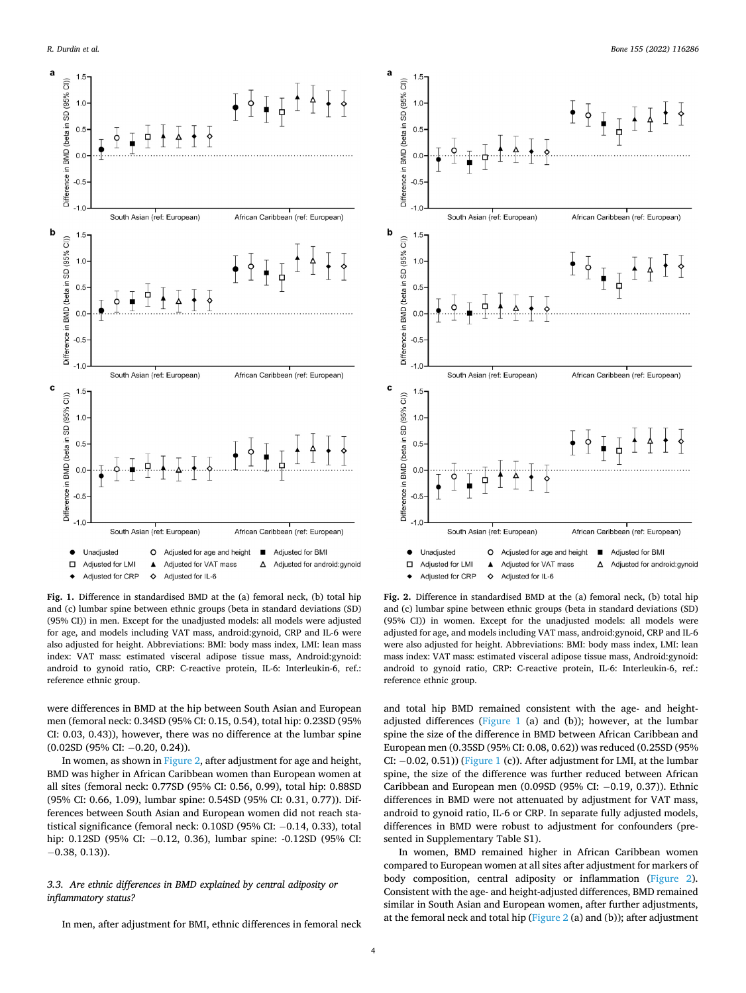<span id="page-3-0"></span>



were differences in BMD at the hip between South Asian and European men (femoral neck: 0.34SD (95% CI: 0.15, 0.54), total hip: 0.23SD (95% CI: 0.03, 0.43)), however, there was no difference at the lumbar spine (0.02SD (95% CI: − 0.20, 0.24)).

In women, as shown in Figure 2, after adjustment for age and height, BMD was higher in African Caribbean women than European women at all sites (femoral neck: 0.77SD (95% CI: 0.56, 0.99), total hip: 0.88SD (95% CI: 0.66, 1.09), lumbar spine: 0.54SD (95% CI: 0.31, 0.77)). Differences between South Asian and European women did not reach statistical significance (femoral neck: 0.10SD (95% CI: − 0.14, 0.33), total hip: 0.12SD (95% CI: −0.12, 0.36), lumbar spine: -0.12SD (95% CI:  $-0.38, 0.13$ )).

# *3.3. Are ethnic differences in BMD explained by central adiposity or inflammatory status?*

In men, after adjustment for BMI, ethnic differences in femoral neck



**Fig. 2.** Difference in standardised BMD at the (a) femoral neck, (b) total hip and (c) lumbar spine between ethnic groups (beta in standard deviations (SD) (95% CI)) in women. Except for the unadjusted models: all models were adjusted for age, and models including VAT mass, android:gynoid, CRP and IL-6 were also adjusted for height. Abbreviations: BMI: body mass index, LMI: lean mass index: VAT mass: estimated visceral adipose tissue mass, Android:gynoid: android to gynoid ratio, CRP: C-reactive protein, IL-6: Interleukin-6, ref.: reference ethnic group.

and total hip BMD remained consistent with the age- and heightadjusted differences (Figure 1 (a) and (b)); however, at the lumbar spine the size of the difference in BMD between African Caribbean and European men (0.35SD (95% CI: 0.08, 0.62)) was reduced (0.25SD (95% CI: −0.02, 0.51)) (Figure 1 (c)). After adjustment for LMI, at the lumbar spine, the size of the difference was further reduced between African Caribbean and European men (0.09SD (95% CI: -0.19, 0.37)). Ethnic differences in BMD were not attenuated by adjustment for VAT mass, android to gynoid ratio, IL-6 or CRP. In separate fully adjusted models, differences in BMD were robust to adjustment for confounders (presented in Supplementary Table S1).

In women, BMD remained higher in African Caribbean women compared to European women at all sites after adjustment for markers of body composition, central adiposity or inflammation (Figure 2). Consistent with the age- and height-adjusted differences, BMD remained similar in South Asian and European women, after further adjustments, at the femoral neck and total hip (Figure 2 (a) and (b)); after adjustment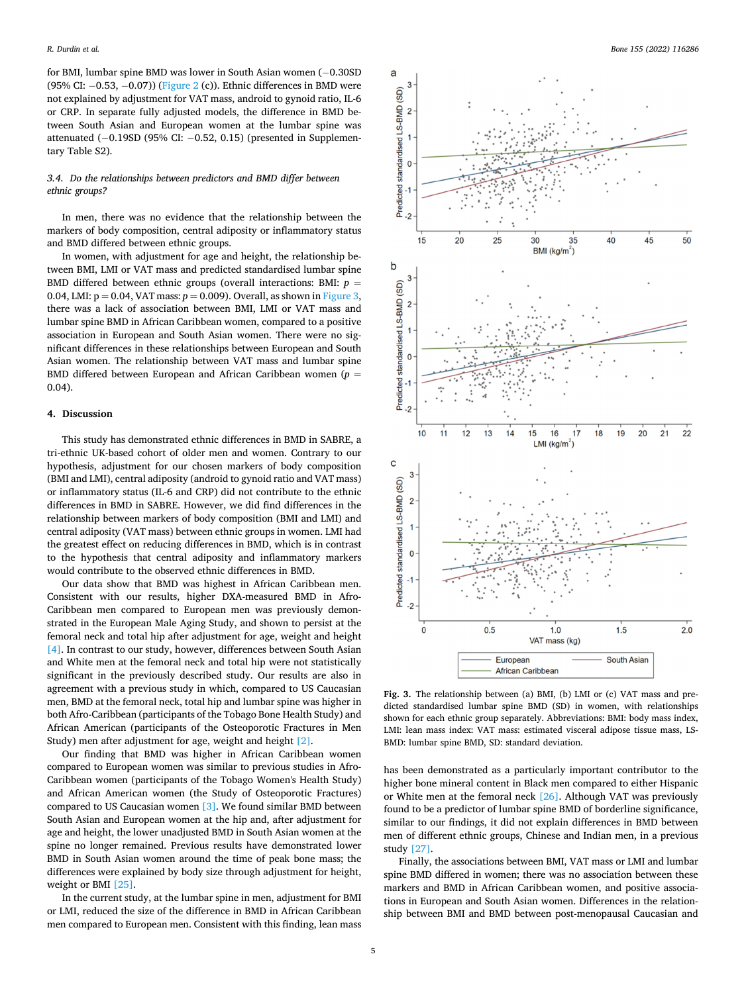for BMI, lumbar spine BMD was lower in South Asian women (− 0.30SD (95% CI: − 0.53, − 0.07)) ([Figure 2](#page-3-0) (c)). Ethnic differences in BMD were not explained by adjustment for VAT mass, android to gynoid ratio, IL-6 or CRP. In separate fully adjusted models, the difference in BMD between South Asian and European women at the lumbar spine was attenuated (− 0.19SD (95% CI: − 0.52, 0.15) (presented in Supplementary Table S2).

# *3.4. Do the relationships between predictors and BMD differ between ethnic groups?*

In men, there was no evidence that the relationship between the markers of body composition, central adiposity or inflammatory status and BMD differed between ethnic groups.

In women, with adjustment for age and height, the relationship between BMI, LMI or VAT mass and predicted standardised lumbar spine BMD differed between ethnic groups (overall interactions: BMI: *p* = 0.04, LMI:  $p = 0.04$ , VAT mass:  $p = 0.009$ ). Overall, as shown in Figure 3, there was a lack of association between BMI, LMI or VAT mass and lumbar spine BMD in African Caribbean women, compared to a positive association in European and South Asian women. There were no significant differences in these relationships between European and South Asian women. The relationship between VAT mass and lumbar spine BMD differed between European and African Caribbean women (*p* = 0.04).

## **4. Discussion**

This study has demonstrated ethnic differences in BMD in SABRE, a tri-ethnic UK-based cohort of older men and women. Contrary to our hypothesis, adjustment for our chosen markers of body composition (BMI and LMI), central adiposity (android to gynoid ratio and VAT mass) or inflammatory status (IL-6 and CRP) did not contribute to the ethnic differences in BMD in SABRE. However, we did find differences in the relationship between markers of body composition (BMI and LMI) and central adiposity (VAT mass) between ethnic groups in women. LMI had the greatest effect on reducing differences in BMD, which is in contrast to the hypothesis that central adiposity and inflammatory markers would contribute to the observed ethnic differences in BMD.

Our data show that BMD was highest in African Caribbean men. Consistent with our results, higher DXA-measured BMD in Afro-Caribbean men compared to European men was previously demonstrated in the European Male Aging Study, and shown to persist at the femoral neck and total hip after adjustment for age, weight and height [\[4\].](#page-6-0) In contrast to our study, however, differences between South Asian and White men at the femoral neck and total hip were not statistically significant in the previously described study. Our results are also in agreement with a previous study in which, compared to US Caucasian men, BMD at the femoral neck, total hip and lumbar spine was higher in both Afro-Caribbean (participants of the Tobago Bone Health Study) and African American (participants of the Osteoporotic Fractures in Men Study) men after adjustment for age, weight and height [\[2\]](#page-6-0).

Our finding that BMD was higher in African Caribbean women compared to European women was similar to previous studies in Afro-Caribbean women (participants of the Tobago Women's Health Study) and African American women (the Study of Osteoporotic Fractures) compared to US Caucasian women [\[3\].](#page-6-0) We found similar BMD between South Asian and European women at the hip and, after adjustment for age and height, the lower unadjusted BMD in South Asian women at the spine no longer remained. Previous results have demonstrated lower BMD in South Asian women around the time of peak bone mass; the differences were explained by body size through adjustment for height, weight or BMI [\[25\]](#page-6-0).

In the current study, at the lumbar spine in men, adjustment for BMI or LMI, reduced the size of the difference in BMD in African Caribbean men compared to European men. Consistent with this finding, lean mass



**Fig. 3.** The relationship between (a) BMI, (b) LMI or (c) VAT mass and predicted standardised lumbar spine BMD (SD) in women, with relationships shown for each ethnic group separately. Abbreviations: BMI: body mass index, LMI: lean mass index: VAT mass: estimated visceral adipose tissue mass, LS-BMD: lumbar spine BMD, SD: standard deviation.

has been demonstrated as a particularly important contributor to the higher bone mineral content in Black men compared to either Hispanic or White men at the femoral neck [\[26\]](#page-6-0). Although VAT was previously found to be a predictor of lumbar spine BMD of borderline significance, similar to our findings, it did not explain differences in BMD between men of different ethnic groups, Chinese and Indian men, in a previous study [\[27\].](#page-6-0)

Finally, the associations between BMI, VAT mass or LMI and lumbar spine BMD differed in women; there was no association between these markers and BMD in African Caribbean women, and positive associations in European and South Asian women. Differences in the relationship between BMI and BMD between post-menopausal Caucasian and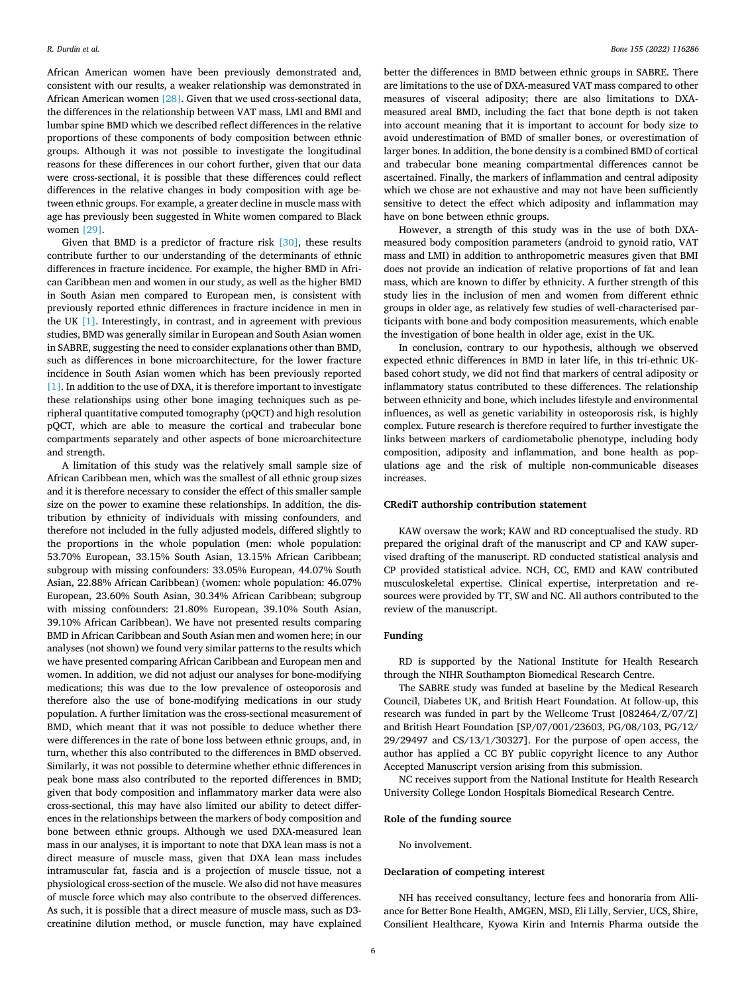African American women have been previously demonstrated and, consistent with our results, a weaker relationship was demonstrated in African American women [\[28\].](#page-6-0) Given that we used cross-sectional data, the differences in the relationship between VAT mass, LMI and BMI and lumbar spine BMD which we described reflect differences in the relative proportions of these components of body composition between ethnic groups. Although it was not possible to investigate the longitudinal reasons for these differences in our cohort further, given that our data were cross-sectional, it is possible that these differences could reflect differences in the relative changes in body composition with age between ethnic groups. For example, a greater decline in muscle mass with age has previously been suggested in White women compared to Black women [\[29\].](#page-6-0)

Given that BMD is a predictor of fracture risk [\[30\]](#page-6-0), these results contribute further to our understanding of the determinants of ethnic differences in fracture incidence. For example, the higher BMD in African Caribbean men and women in our study, as well as the higher BMD in South Asian men compared to European men, is consistent with previously reported ethnic differences in fracture incidence in men in the UK [\[1\]](#page-6-0). Interestingly, in contrast, and in agreement with previous studies, BMD was generally similar in European and South Asian women in SABRE, suggesting the need to consider explanations other than BMD, such as differences in bone microarchitecture, for the lower fracture incidence in South Asian women which has been previously reported [\[1\].](#page-6-0) In addition to the use of DXA, it is therefore important to investigate these relationships using other bone imaging techniques such as peripheral quantitative computed tomography (pQCT) and high resolution pQCT, which are able to measure the cortical and trabecular bone compartments separately and other aspects of bone microarchitecture and strength.

A limitation of this study was the relatively small sample size of African Caribbean men, which was the smallest of all ethnic group sizes and it is therefore necessary to consider the effect of this smaller sample size on the power to examine these relationships. In addition, the distribution by ethnicity of individuals with missing confounders, and therefore not included in the fully adjusted models, differed slightly to the proportions in the whole population (men: whole population: 53.70% European, 33.15% South Asian, 13.15% African Caribbean; subgroup with missing confounders: 33.05% European, 44.07% South Asian, 22.88% African Caribbean) (women: whole population: 46.07% European, 23.60% South Asian, 30.34% African Caribbean; subgroup with missing confounders: 21.80% European, 39.10% South Asian, 39.10% African Caribbean). We have not presented results comparing BMD in African Caribbean and South Asian men and women here; in our analyses (not shown) we found very similar patterns to the results which we have presented comparing African Caribbean and European men and women. In addition, we did not adjust our analyses for bone-modifying medications; this was due to the low prevalence of osteoporosis and therefore also the use of bone-modifying medications in our study population. A further limitation was the cross-sectional measurement of BMD, which meant that it was not possible to deduce whether there were differences in the rate of bone loss between ethnic groups, and, in turn, whether this also contributed to the differences in BMD observed. Similarly, it was not possible to determine whether ethnic differences in peak bone mass also contributed to the reported differences in BMD; given that body composition and inflammatory marker data were also cross-sectional, this may have also limited our ability to detect differences in the relationships between the markers of body composition and bone between ethnic groups. Although we used DXA-measured lean mass in our analyses, it is important to note that DXA lean mass is not a direct measure of muscle mass, given that DXA lean mass includes intramuscular fat, fascia and is a projection of muscle tissue, not a physiological cross-section of the muscle. We also did not have measures of muscle force which may also contribute to the observed differences. As such, it is possible that a direct measure of muscle mass, such as D3 creatinine dilution method, or muscle function, may have explained

better the differences in BMD between ethnic groups in SABRE. There are limitations to the use of DXA-measured VAT mass compared to other measures of visceral adiposity; there are also limitations to DXAmeasured areal BMD, including the fact that bone depth is not taken into account meaning that it is important to account for body size to avoid underestimation of BMD of smaller bones, or overestimation of larger bones. In addition, the bone density is a combined BMD of cortical and trabecular bone meaning compartmental differences cannot be ascertained. Finally, the markers of inflammation and central adiposity which we chose are not exhaustive and may not have been sufficiently sensitive to detect the effect which adiposity and inflammation may have on bone between ethnic groups.

However, a strength of this study was in the use of both DXAmeasured body composition parameters (android to gynoid ratio, VAT mass and LMI) in addition to anthropometric measures given that BMI does not provide an indication of relative proportions of fat and lean mass, which are known to differ by ethnicity. A further strength of this study lies in the inclusion of men and women from different ethnic groups in older age, as relatively few studies of well-characterised participants with bone and body composition measurements, which enable the investigation of bone health in older age, exist in the UK.

In conclusion, contrary to our hypothesis, although we observed expected ethnic differences in BMD in later life, in this tri-ethnic UKbased cohort study, we did not find that markers of central adiposity or inflammatory status contributed to these differences. The relationship between ethnicity and bone, which includes lifestyle and environmental influences, as well as genetic variability in osteoporosis risk, is highly complex. Future research is therefore required to further investigate the links between markers of cardiometabolic phenotype, including body composition, adiposity and inflammation, and bone health as populations age and the risk of multiple non-communicable diseases increases.

#### **CRediT authorship contribution statement**

KAW oversaw the work; KAW and RD conceptualised the study. RD prepared the original draft of the manuscript and CP and KAW supervised drafting of the manuscript. RD conducted statistical analysis and CP provided statistical advice. NCH, CC, EMD and KAW contributed musculoskeletal expertise. Clinical expertise, interpretation and resources were provided by TT, SW and NC. All authors contributed to the review of the manuscript.

#### **Funding**

RD is supported by the National Institute for Health Research through the NIHR Southampton Biomedical Research Centre.

The SABRE study was funded at baseline by the Medical Research Council, Diabetes UK, and British Heart Foundation. At follow-up, this research was funded in part by the Wellcome Trust [082464/Z/07/Z] and British Heart Foundation [SP/07/001/23603, PG/08/103, PG/12/ 29/29497 and CS/13/1/30327]. For the purpose of open access, the author has applied a CC BY public copyright licence to any Author Accepted Manuscript version arising from this submission.

NC receives support from the National Institute for Health Research University College London Hospitals Biomedical Research Centre.

#### **Role of the funding source**

No involvement.

# **Declaration of competing interest**

NH has received consultancy, lecture fees and honoraria from Alliance for Better Bone Health, AMGEN, MSD, Eli Lilly, Servier, UCS, Shire, Consilient Healthcare, Kyowa Kirin and Internis Pharma outside the